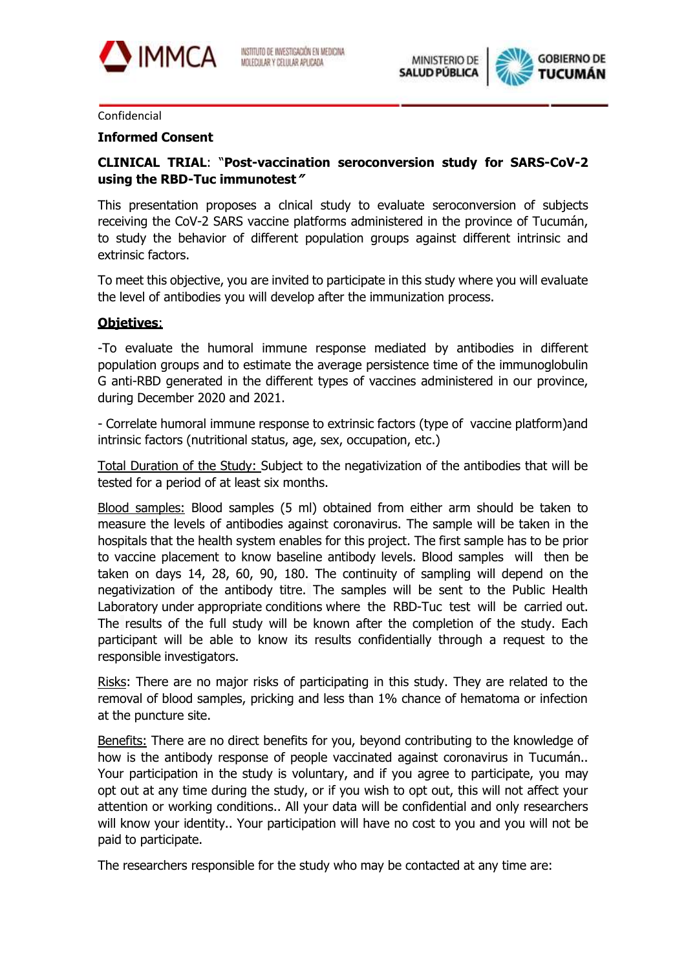



## Confidencial

## **Informed Consent**

## **CLINICAL TRIAL**: "**Post-vaccination seroconversion study for SARS-CoV-2 using the RBD-Tuc immunotest"**

This presentation proposes a clnical study to evaluate seroconversion of subjects receiving the CoV-2 SARS vaccine platforms administered in the province of Tucumán, to study the behavior of different population groups against different intrinsic and extrinsic factors.

To meet this objective, you are invited to participate in this study where you will evaluate the level of antibodies you will develop after the immunization process.

## **Objetives**:

-To evaluate the humoral immune response mediated by antibodies in different population groups and to estimate the average persistence time of the immunoglobulin G anti-RBD generated in the different types of vaccines administered in our province, during December 2020 and 2021.

- Correlate humoral immune response to extrinsic factors (type of vaccine platform)and intrinsic factors (nutritional status, age, sex, occupation, etc.)

Total Duration of the Study: Subject to the negativization of the antibodies that will be tested for a period of at least six months.

Blood samples: Blood samples (5 ml) obtained from either arm should be taken to measure the levels of antibodies against coronavirus. The sample will be taken in the hospitals that the health system enables for this project. The first sample has to be prior to vaccine placement to know baseline antibody levels. Blood samples will then be taken on days 14, 28, 60, 90, 180. The continuity of sampling will depend on the negativization of the antibody titre. The samples will be sent to the Public Health Laboratory under appropriate conditions where the RBD-Tuc test will be carried out. The results of the full study will be known after the completion of the study. Each participant will be able to know its results confidentially through a request to the responsible investigators.

Risks: There are no major risks of participating in this study. They are related to the removal of blood samples, pricking and less than 1% chance of hematoma or infection at the puncture site.

Benefits: There are no direct benefits for you, beyond contributing to the knowledge of how is the antibody response of people vaccinated against coronavirus in Tucumán.. Your participation in the study is voluntary, and if you agree to participate, you may opt out at any time during the study, or if you wish to opt out, this will not affect your attention or working conditions.. All your data will be confidential and only researchers will know your identity.. Your participation will have no cost to you and you will not be paid to participate.

The researchers responsible for the study who may be contacted at any time are: